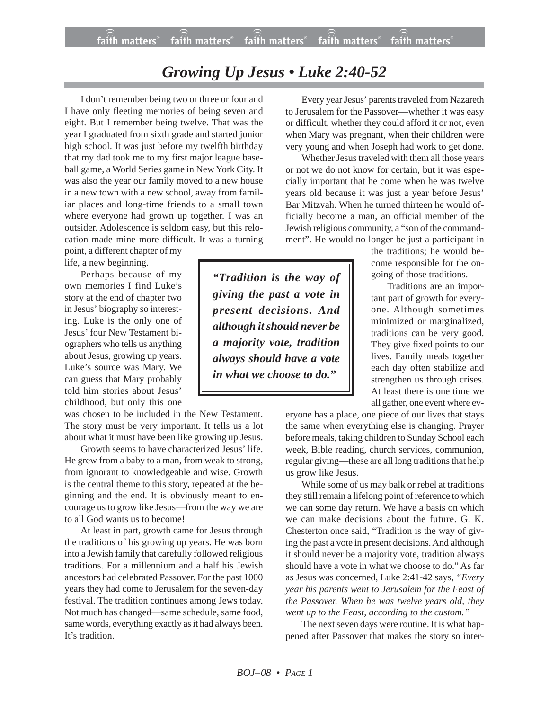## *Growing Up Jesus • Luke 2:40-52*

I don't remember being two or three or four and I have only fleeting memories of being seven and eight. But I remember being twelve. That was the year I graduated from sixth grade and started junior high school. It was just before my twelfth birthday that my dad took me to my first major league baseball game, a World Series game in New York City. It was also the year our family moved to a new house in a new town with a new school, away from familiar places and long-time friends to a small town where everyone had grown up together. I was an outsider. Adolescence is seldom easy, but this relocation made mine more difficult. It was a turning

point, a different chapter of my life, a new beginning.

Perhaps because of my own memories I find Luke's story at the end of chapter two in Jesus' biography so interesting. Luke is the only one of Jesus' four New Testament biographers who tells us anything about Jesus, growing up years. Luke's source was Mary. We can guess that Mary probably told him stories about Jesus' childhood, but only this one

was chosen to be included in the New Testament. The story must be very important. It tells us a lot about what it must have been like growing up Jesus.

Growth seems to have characterized Jesus' life. He grew from a baby to a man, from weak to strong, from ignorant to knowledgeable and wise. Growth is the central theme to this story, repeated at the beginning and the end. It is obviously meant to encourage us to grow like Jesus—from the way we are to all God wants us to become!

At least in part, growth came for Jesus through the traditions of his growing up years. He was born into a Jewish family that carefully followed religious traditions. For a millennium and a half his Jewish ancestors had celebrated Passover. For the past 1000 years they had come to Jerusalem for the seven-day festival. The tradition continues among Jews today. Not much has changed—same schedule, same food, same words, everything exactly as it had always been. It's tradition.

Every year Jesus' parents traveled from Nazareth to Jerusalem for the Passover—whether it was easy or difficult, whether they could afford it or not, even when Mary was pregnant, when their children were very young and when Joseph had work to get done.

Whether Jesus traveled with them all those years or not we do not know for certain, but it was especially important that he come when he was twelve years old because it was just a year before Jesus' Bar Mitzvah. When he turned thirteen he would officially become a man, an official member of the Jewish religious community, a "son of the commandment". He would no longer be just a participant in

the traditions; he would become responsible for the ongoing of those traditions.

Traditions are an important part of growth for everyone. Although sometimes minimized or marginalized, traditions can be very good. They give fixed points to our lives. Family meals together each day often stabilize and strengthen us through crises. At least there is one time we all gather, one event where ev-

eryone has a place, one piece of our lives that stays the same when everything else is changing. Prayer before meals, taking children to Sunday School each week, Bible reading, church services, communion, regular giving—these are all long traditions that help us grow like Jesus.

While some of us may balk or rebel at traditions they still remain a lifelong point of reference to which we can some day return. We have a basis on which we can make decisions about the future. G. K. Chesterton once said, "Tradition is the way of giving the past a vote in present decisions. And although it should never be a majority vote, tradition always should have a vote in what we choose to do." As far as Jesus was concerned, Luke 2:41-42 says, *"Every year his parents went to Jerusalem for the Feast of the Passover. When he was twelve years old, they went up to the Feast, according to the custom."*

The next seven days were routine. It is what happened after Passover that makes the story so inter-

*"Tradition is the way of giving the past a vote in present decisions. And although it should never be a majority vote, tradition always should have a vote in what we choose to do."*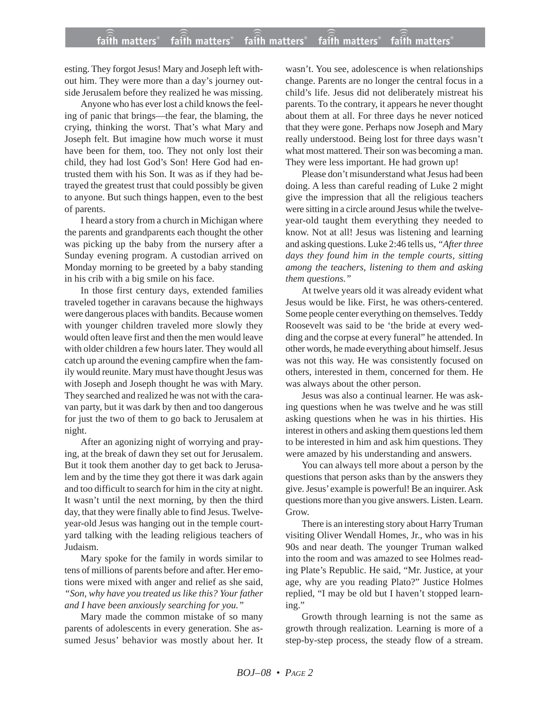esting. They forgot Jesus! Mary and Joseph left without him. They were more than a day's journey outside Jerusalem before they realized he was missing.

Anyone who has ever lost a child knows the feeling of panic that brings—the fear, the blaming, the crying, thinking the worst. That's what Mary and Joseph felt. But imagine how much worse it must have been for them, too. They not only lost their child, they had lost God's Son! Here God had entrusted them with his Son. It was as if they had betrayed the greatest trust that could possibly be given to anyone. But such things happen, even to the best of parents.

I heard a story from a church in Michigan where the parents and grandparents each thought the other was picking up the baby from the nursery after a Sunday evening program. A custodian arrived on Monday morning to be greeted by a baby standing in his crib with a big smile on his face.

In those first century days, extended families traveled together in caravans because the highways were dangerous places with bandits. Because women with younger children traveled more slowly they would often leave first and then the men would leave with older children a few hours later. They would all catch up around the evening campfire when the family would reunite. Mary must have thought Jesus was with Joseph and Joseph thought he was with Mary. They searched and realized he was not with the caravan party, but it was dark by then and too dangerous for just the two of them to go back to Jerusalem at night.

After an agonizing night of worrying and praying, at the break of dawn they set out for Jerusalem. But it took them another day to get back to Jerusalem and by the time they got there it was dark again and too difficult to search for him in the city at night. It wasn't until the next morning, by then the third day, that they were finally able to find Jesus. Twelveyear-old Jesus was hanging out in the temple courtyard talking with the leading religious teachers of Judaism.

Mary spoke for the family in words similar to tens of millions of parents before and after. Her emotions were mixed with anger and relief as she said, *"Son, why have you treated us like this? Your father and I have been anxiously searching for you."*

Mary made the common mistake of so many parents of adolescents in every generation. She assumed Jesus' behavior was mostly about her. It wasn't. You see, adolescence is when relationships change. Parents are no longer the central focus in a child's life. Jesus did not deliberately mistreat his parents. To the contrary, it appears he never thought about them at all. For three days he never noticed that they were gone. Perhaps now Joseph and Mary really understood. Being lost for three days wasn't what most mattered. Their son was becoming a man. They were less important. He had grown up!

Please don't misunderstand what Jesus had been doing. A less than careful reading of Luke 2 might give the impression that all the religious teachers were sitting in a circle around Jesus while the twelveyear-old taught them everything they needed to know. Not at all! Jesus was listening and learning and asking questions. Luke 2:46 tells us, *"After three days they found him in the temple courts, sitting among the teachers, listening to them and asking them questions."*

At twelve years old it was already evident what Jesus would be like. First, he was others-centered. Some people center everything on themselves. Teddy Roosevelt was said to be 'the bride at every wedding and the corpse at every funeral" he attended. In other words, he made everything about himself. Jesus was not this way. He was consistently focused on others, interested in them, concerned for them. He was always about the other person.

Jesus was also a continual learner. He was asking questions when he was twelve and he was still asking questions when he was in his thirties. His interest in others and asking them questions led them to be interested in him and ask him questions. They were amazed by his understanding and answers.

You can always tell more about a person by the questions that person asks than by the answers they give. Jesus' example is powerful! Be an inquirer. Ask questions more than you give answers. Listen. Learn. Grow.

There is an interesting story about Harry Truman visiting Oliver Wendall Homes, Jr., who was in his 90s and near death. The younger Truman walked into the room and was amazed to see Holmes reading Plate's Republic. He said, "Mr. Justice, at your age, why are you reading Plato?" Justice Holmes replied, "I may be old but I haven't stopped learning."

Growth through learning is not the same as growth through realization. Learning is more of a step-by-step process, the steady flow of a stream.